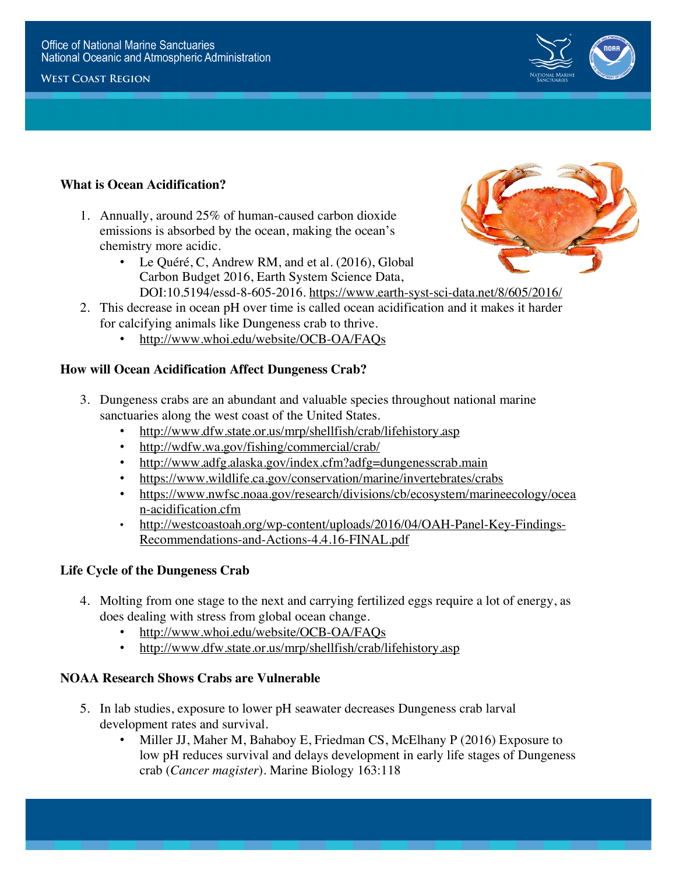#### **West Coast Region**



**https://sanctuaries.noaa.gov/education/oa**

# **What is Ocean Acidification?**

- 1. Annually, around 25% of human-caused carbon dioxide emissions is absorbed by the ocean, making the ocean's chemistry more acidic.
	- Le Quéré, C, Andrew RM, and et al. (2016), Global Carbon Budget 2016, Earth System Science Data,



- DOI:10.5194/essd-8-605-2016. https://www.earth-syst-sci-data.net/8/605/2016/
- 2. This decrease in ocean pH over time is called ocean acidification and it makes it harder for calcifying animals like Dungeness crab to thrive.
	- http://www.whoi.edu/website/OCB-OA/FAQs

#### **How will Ocean Acidification Affect Dungeness Crab?**

- **Dungeness crabs are an abundant and valuable species throughout national marine sanctuaries along the west coast of the United States.**<br>
http://www.dfw.state.or.us/mrp/shellfish/crab/lifehistory.asp 3. Dungeness crabs are an abundant and valuable species throughout national marine sanctuaries along the west coast of the United States.
	- http://www.dfw.state.or.us/mrp/shellfish/crab/lifehistory.asp
	- http://wdfw.wa.gov/fishing/commercial/crab/
	- http://www.adfg.alaska.gov/index.cfm?adfg=dungenesscrab.main
	- https://www.wildlife.ca.gov/conservation/marine/invertebrates/crabs
	- https://www.nwfsc.noaa.gov/research/divisions/cb/ecosystem/marineecology/ocea n-acidification.cfm
	- http://westcoastoah.org/wp-content/uploads/2016/04/OAH-Panel-Key-Findings-Recommendations-and-Actions-4.4.16-FINAL.pdf

## **Life Cycle of the Dungeness Crab**

- 4. Molting from one stage to the next and carrying fertilized eggs require a lot of energy, as does dealing with stress from global ocean change.
	- http://www.whoi.edu/website/OCB-OA/FAQs
	- http://www.dfw.state.or.us/mrp/shellfish/crab/lifehistory.asp

#### **NOAA Research Shows Crabs are Vulnerable**

- 5. In lab studies, exposure to lower pH seawater decreases Dungeness crab larval development rates and survival.
	- Miller JJ, Maher M, Bahaboy E, Friedman CS, McElhany P (2016) Exposure to low pH reduces survival and delays development in early life stages of Dungeness crab (*Cancer magister*). Marine Biology 163:118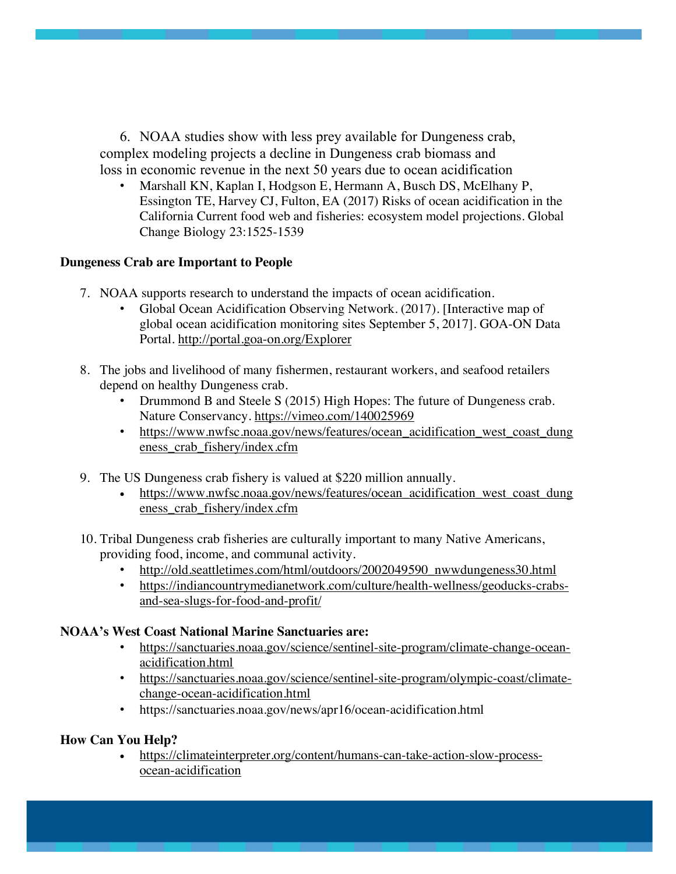6. NOAA studies show with less prey available for Dungeness crab, complex modeling projects a decline in Dungeness crab biomass and loss in economic revenue in the next 50 years due to ocean acidification

• Marshall KN, Kaplan I, Hodgson E, Hermann A, Busch DS, McElhany P, Essington TE, Harvey CJ, Fulton, EA (2017) Risks of ocean acidification in the California Current food web and fisheries: ecosystem model projections. Global Change Biology 23:1525-1539

### **Dungeness Crab are Important to People**

- 7. NOAA supports research to understand the impacts of ocean acidification.
	- Global Ocean Acidification Observing Network. (2017). [Interactive map of global ocean acidification monitoring sites September 5, 2017]. GOA-ON Data Portal. http://portal.goa-on.org/Explorer
- 8. The jobs and livelihood of many fishermen, restaurant workers, and seafood retailers depend on healthy Dungeness crab.
	- Drummond B and Steele S (2015) High Hopes: The future of Dungeness crab. Nature Conservancy. https://vimeo.com/140025969
	- https://www.nwfsc.noaa.gov/news/features/ocean acidification west coast dung eness\_crab\_fishery/index.cfm
- 9. The US Dungeness crab fishery is valued at \$220 million annually.
	- https://www.nwfsc.noaa.gov/news/features/ocean acidification west coast dung eness\_crab\_fishery/index.cfm
- 10. Tribal Dungeness crab fisheries are culturally important to many Native Americans, providing food, income, and communal activity.
	- http://old.seattletimes.com/html/outdoors/2002049590\_nwwdungeness30.html
	- https://indiancountrymedianetwork.com/culture/health-wellness/geoducks-crabsand-sea-slugs-for-food-and-profit/

## **NOAA's West Coast National Marine Sanctuaries are:**

- https://sanctuaries.noaa.gov/science/sentinel-site-program/climate-change-oceanacidification.html
- https://sanctuaries.noaa.gov/science/sentinel-site-program/olympic-coast/climatechange-ocean-acidification.html
- https://sanctuaries.noaa.gov/news/apr16/ocean-acidification.html

## **How Can You Help?**

• https://climateinterpreter.org/content/humans-can-take-action-slow-processocean-acidification

**https://sanctuaries.noaa.gov/education/oa**